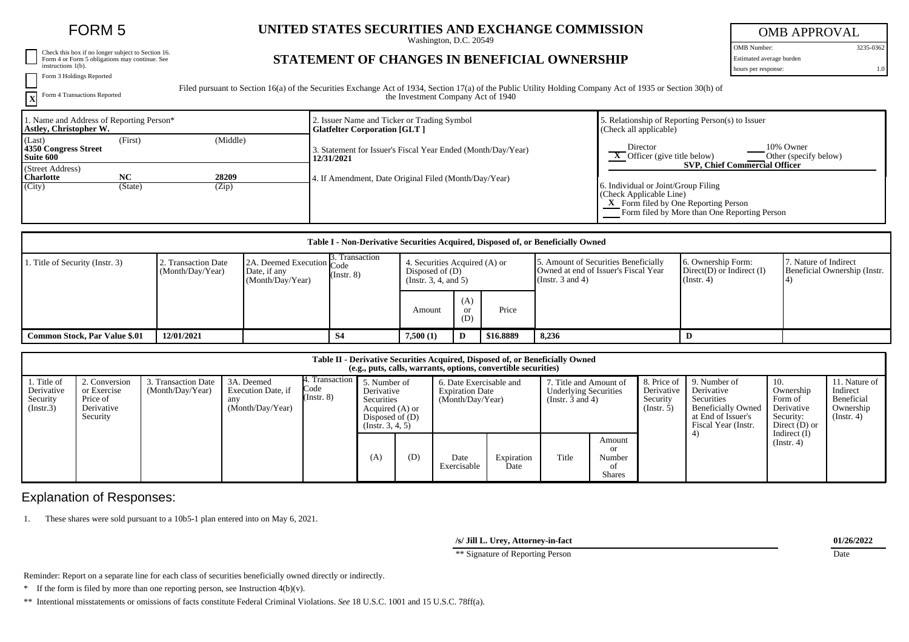| Check this box if no longer subject to Section 16.<br>Form 4 or Form 5 obligations may continue. See |
|------------------------------------------------------------------------------------------------------|
| instructions 1(b).                                                                                   |

Form 3 Holdings Reported

**X** Form 4 Transactions Reported **UNITED STATES SECURITIES AND EXCHANGE COMMISSION**

Washington, D.C. 20549

## OMB APPROVAL OMB Number: 3235-0362

Estimated average burden

hours per response: 1.0

**STATEMENT OF CHANGES IN BENEFICIAL OWNERSHIP**

Filed pursuant to Section 16(a) of the Securities Exchange Act of 1934, Section 17(a) of the Public Utility Holding Company Act of 1935 or Section 30(h) of the Investment Company Act of 1940

| 1. Name and Address of Reporting Person*<br>Astley, Christopher W. |                      |                | 2. Issuer Name and Ticker or Trading Symbol<br><b>Glatfelter Corporation [GLT ]</b> | . Relationship of Reporting Person(s) to Issuer<br>(Check all applicable)                                                                                                                      |
|--------------------------------------------------------------------|----------------------|----------------|-------------------------------------------------------------------------------------|------------------------------------------------------------------------------------------------------------------------------------------------------------------------------------------------|
| (Last)<br>4350 Congress Street<br>Suite 600                        | (First)              | (Middle)       | 3. Statement for Issuer's Fiscal Year Ended (Month/Day/Year)<br>12/31/2021          | 10% Owner<br>Director<br>$\overline{\phantom{a}}$ Officer (give title below)<br>Other (specify below)                                                                                          |
| (Street Address)<br><b>Charlotte</b><br>(City)                     | <b>NC</b><br>(State) | 28209<br>(Zip) | 4. If Amendment, Date Original Filed (Month/Day/Year)                               | <b>SVP. Chief Commercial Officer</b><br>6. Individual or Joint/Group Filing<br>(Check Applicable Line)<br>X Form filed by One Reporting Person<br>Form filed by More than One Reporting Person |

| Table I - Non-Derivative Securities Acquired, Disposed of, or Beneficially Owned |                                         |                                                               |                                          |                                                                          |                  |           |       |   |                                                                                                  |                                                                   |                                                       |
|----------------------------------------------------------------------------------|-----------------------------------------|---------------------------------------------------------------|------------------------------------------|--------------------------------------------------------------------------|------------------|-----------|-------|---|--------------------------------------------------------------------------------------------------|-------------------------------------------------------------------|-------------------------------------------------------|
| 1. Title of Security (Instr. 3)                                                  | 2. Transaction Date<br>(Month/Day/Year) | 2A. Deemed Execution Code<br>Date, if any<br>(Month/Day/Year) | $\beta$ . Transaction<br>$($ Instr. $8)$ | 4. Securities Acquired (A) or<br>Disposed of (D)<br>(Instr. 3, 4, and 5) |                  |           |       |   | 5. Amount of Securities Beneficially<br>Owned at end of Issuer's Fiscal Year<br>(Instr. 3 and 4) | 6. Ownership Form:<br>$Direct(D)$ or Indirect $(I)$<br>(Instr. 4) | 7. Nature of Indirect<br>Beneficial Ownership (Instr. |
|                                                                                  |                                         |                                                               |                                          | Amount                                                                   | (A)<br>or<br>(D) | Price     |       |   |                                                                                                  |                                                                   |                                                       |
| <b>Common Stock, Par Value \$.01</b>                                             | 12/01/2021                              |                                                               | S4                                       | 7,500(1)                                                                 |                  | \$16,8889 | 8,236 | D |                                                                                                  |                                                                   |                                                       |

| Table II - Derivative Securities Acquired, Disposed of, or Beneficially Owned<br>(e.g., puts, calls, warrants, options, convertible securities) |                                                                    |                                         |                                                             |                         |                                                                                                                      |     |                                                                       |                    |                                                                                |                                         |                                                           |                                                                                                                    |                                                                           |                                                                          |
|-------------------------------------------------------------------------------------------------------------------------------------------------|--------------------------------------------------------------------|-----------------------------------------|-------------------------------------------------------------|-------------------------|----------------------------------------------------------------------------------------------------------------------|-----|-----------------------------------------------------------------------|--------------------|--------------------------------------------------------------------------------|-----------------------------------------|-----------------------------------------------------------|--------------------------------------------------------------------------------------------------------------------|---------------------------------------------------------------------------|--------------------------------------------------------------------------|
| Title of<br>Derivative<br>Security<br>(Instr.3)                                                                                                 | 2. Conversion<br>or Exercise<br>Price of<br>Derivative<br>Security | 3. Transaction Date<br>(Month/Day/Year) | 3A. Deemed<br>Execution Date, if<br>any<br>(Month/Day/Year) | Code<br>$($ Instr. $8)$ | 4. Transaction 5. Number of<br>Derivative<br>Securities<br>Acquired (A) or<br>Disposed of $(D)$<br>(Insert. 3, 4, 5) |     | 6. Date Exercisable and<br><b>Expiration Date</b><br>(Month/Day/Year) |                    | . Title and Amount of<br><b>Underlying Securities</b><br>(Instr. $3$ and $4$ ) |                                         | 8. Price of<br>Derivative<br>Security<br>$($ Instr. 5 $)$ | 9. Number of<br>Derivative<br>Securities<br><b>Beneficially Owned</b><br>at End of Issuer's<br>Fiscal Year (Instr. | 10.<br>Ownership<br>Form of<br>Derivative<br>Security:<br>Direct $(D)$ or | 11. Nature of<br>Indirect<br>Beneficial<br>Ownership<br>$($ Instr. 4 $)$ |
|                                                                                                                                                 |                                                                    |                                         |                                                             |                         | (A)                                                                                                                  | (D) | Date<br>Exercisable                                                   | Expiration<br>Date | Title                                                                          | Amount<br>or<br>Number<br><b>Shares</b> |                                                           |                                                                                                                    | Indirect $(I)$<br>$($ Instr. 4 $)$                                        |                                                                          |

## Explanation of Responses:

1. These shares were sold pursuant to a 10b5-1 plan entered into on May 6, 2021.

**/s/ Jill L. Urey, Attorney-in-fact 01/26/2022**

\*\* Signature of Reporting Person Date

Reminder: Report on a separate line for each class of securities beneficially owned directly or indirectly.

\* If the form is filed by more than one reporting person, see Instruction 4(b)(v).

\*\* Intentional misstatements or omissions of facts constitute Federal Criminal Violations. *See* 18 U.S.C. 1001 and 15 U.S.C. 78ff(a).